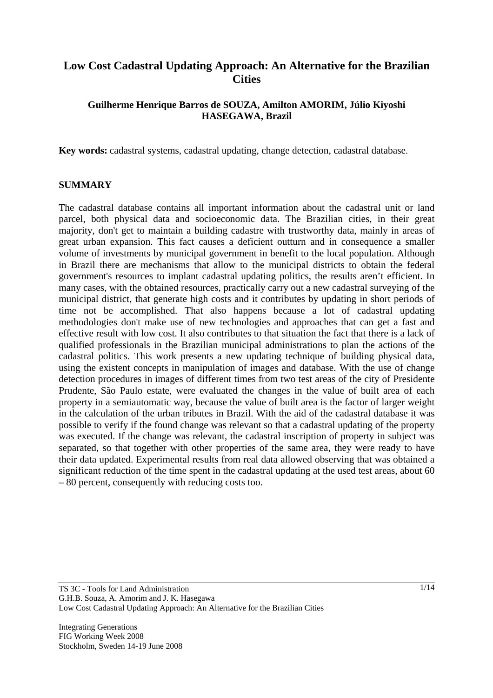# **Low Cost Cadastral Updating Approach: An Alternative for the Brazilian Cities**

### **Guilherme Henrique Barros de SOUZA, Amilton AMORIM, Júlio Kiyoshi HASEGAWA, Brazil**

**Key words:** cadastral systems, cadastral updating, change detection, cadastral database.

#### **SUMMARY**

The cadastral database contains all important information about the cadastral unit or land parcel, both physical data and socioeconomic data. The Brazilian cities, in their great majority, don't get to maintain a building cadastre with trustworthy data, mainly in areas of great urban expansion. This fact causes a deficient outturn and in consequence a smaller volume of investments by municipal government in benefit to the local population. Although in Brazil there are mechanisms that allow to the municipal districts to obtain the federal government's resources to implant cadastral updating politics, the results aren't efficient. In many cases, with the obtained resources, practically carry out a new cadastral surveying of the municipal district, that generate high costs and it contributes by updating in short periods of time not be accomplished. That also happens because a lot of cadastral updating methodologies don't make use of new technologies and approaches that can get a fast and effective result with low cost. It also contributes to that situation the fact that there is a lack of qualified professionals in the Brazilian municipal administrations to plan the actions of the cadastral politics. This work presents a new updating technique of building physical data, using the existent concepts in manipulation of images and database. With the use of change detection procedures in images of different times from two test areas of the city of Presidente Prudente, São Paulo estate, were evaluated the changes in the value of built area of each property in a semiautomatic way, because the value of built area is the factor of larger weight in the calculation of the urban tributes in Brazil. With the aid of the cadastral database it was possible to verify if the found change was relevant so that a cadastral updating of the property was executed. If the change was relevant, the cadastral inscription of property in subject was separated, so that together with other properties of the same area, they were ready to have their data updated. Experimental results from real data allowed observing that was obtained a significant reduction of the time spent in the cadastral updating at the used test areas, about 60 – 80 percent, consequently with reducing costs too.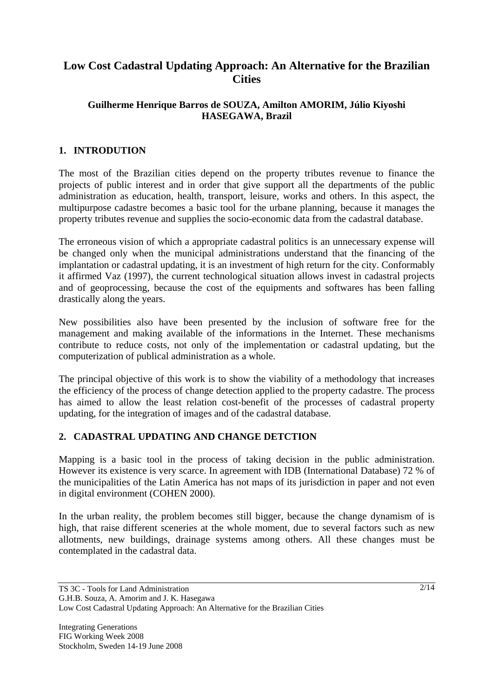# **Low Cost Cadastral Updating Approach: An Alternative for the Brazilian Cities**

### **Guilherme Henrique Barros de SOUZA, Amilton AMORIM, Júlio Kiyoshi HASEGAWA, Brazil**

## **1. INTRODUTION**

The most of the Brazilian cities depend on the property tributes revenue to finance the projects of public interest and in order that give support all the departments of the public administration as education, health, transport, leisure, works and others. In this aspect, the multipurpose cadastre becomes a basic tool for the urbane planning, because it manages the property tributes revenue and supplies the socio-economic data from the cadastral database.

The erroneous vision of which a appropriate cadastral politics is an unnecessary expense will be changed only when the municipal administrations understand that the financing of the implantation or cadastral updating, it is an investment of high return for the city. Conformably it affirmed Vaz (1997), the current technological situation allows invest in cadastral projects and of geoprocessing, because the cost of the equipments and softwares has been falling drastically along the years.

New possibilities also have been presented by the inclusion of software free for the management and making available of the informations in the Internet. These mechanisms contribute to reduce costs, not only of the implementation or cadastral updating, but the computerization of publical administration as a whole.

The principal objective of this work is to show the viability of a methodology that increases the efficiency of the process of change detection applied to the property cadastre. The process has aimed to allow the least relation cost-benefit of the processes of cadastral property updating, for the integration of images and of the cadastral database.

### **2. CADASTRAL UPDATING AND CHANGE DETCTION**

Mapping is a basic tool in the process of taking decision in the public administration. However its existence is very scarce. In agreement with IDB (International Database) 72 % of the municipalities of the Latin America has not maps of its jurisdiction in paper and not even in digital environment (COHEN 2000).

In the urban reality, the problem becomes still bigger, because the change dynamism of is high, that raise different sceneries at the whole moment, due to several factors such as new allotments, new buildings, drainage systems among others. All these changes must be contemplated in the cadastral data.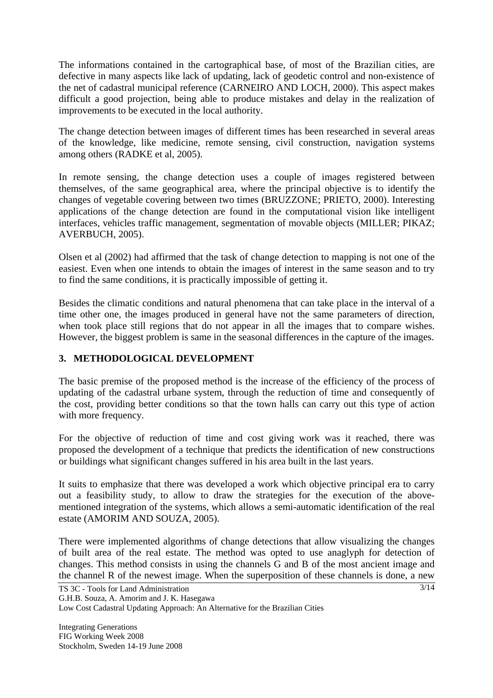The informations contained in the cartographical base, of most of the Brazilian cities, are defective in many aspects like lack of updating, lack of geodetic control and non-existence of the net of cadastral municipal reference (CARNEIRO AND LOCH, 2000). This aspect makes difficult a good projection, being able to produce mistakes and delay in the realization of improvements to be executed in the local authority.

The change detection between images of different times has been researched in several areas of the knowledge, like medicine, remote sensing, civil construction, navigation systems among others (RADKE et al, 2005).

In remote sensing, the change detection uses a couple of images registered between themselves, of the same geographical area, where the principal objective is to identify the changes of vegetable covering between two times (BRUZZONE; PRIETO, 2000). Interesting applications of the change detection are found in the computational vision like intelligent interfaces, vehicles traffic management, segmentation of movable objects (MILLER; PIKAZ; AVERBUCH, 2005).

Olsen et al (2002) had affirmed that the task of change detection to mapping is not one of the easiest. Even when one intends to obtain the images of interest in the same season and to try to find the same conditions, it is practically impossible of getting it.

Besides the climatic conditions and natural phenomena that can take place in the interval of a time other one, the images produced in general have not the same parameters of direction, when took place still regions that do not appear in all the images that to compare wishes. However, the biggest problem is same in the seasonal differences in the capture of the images.

## **3. METHODOLOGICAL DEVELOPMENT**

The basic premise of the proposed method is the increase of the efficiency of the process of updating of the cadastral urbane system, through the reduction of time and consequently of the cost, providing better conditions so that the town halls can carry out this type of action with more frequency.

For the objective of reduction of time and cost giving work was it reached, there was proposed the development of a technique that predicts the identification of new constructions or buildings what significant changes suffered in his area built in the last years.

It suits to emphasize that there was developed a work which objective principal era to carry out a feasibility study, to allow to draw the strategies for the execution of the abovementioned integration of the systems, which allows a semi-automatic identification of the real estate (AMORIM AND SOUZA, 2005).

There were implemented algorithms of change detections that allow visualizing the changes of built area of the real estate. The method was opted to use anaglyph for detection of changes. This method consists in using the channels G and B of the most ancient image and the channel R of the newest image. When the superposition of these channels is done, a new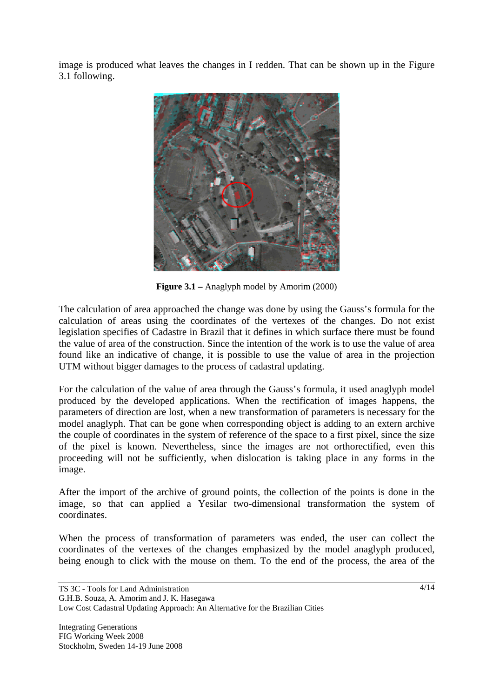image is produced what leaves the changes in I redden. That can be shown up in the Figure 3.1 following.



**Figure 3.1 –** Anaglyph model by Amorim (2000)

The calculation of area approached the change was done by using the Gauss's formula for the calculation of areas using the coordinates of the vertexes of the changes. Do not exist legislation specifies of Cadastre in Brazil that it defines in which surface there must be found the value of area of the construction. Since the intention of the work is to use the value of area found like an indicative of change, it is possible to use the value of area in the projection UTM without bigger damages to the process of cadastral updating.

For the calculation of the value of area through the Gauss's formula, it used anaglyph model produced by the developed applications. When the rectification of images happens, the parameters of direction are lost, when a new transformation of parameters is necessary for the model anaglyph. That can be gone when corresponding object is adding to an extern archive the couple of coordinates in the system of reference of the space to a first pixel, since the size of the pixel is known. Nevertheless, since the images are not orthorectified, even this proceeding will not be sufficiently, when dislocation is taking place in any forms in the image.

After the import of the archive of ground points, the collection of the points is done in the image, so that can applied a Yesilar two-dimensional transformation the system of coordinates.

When the process of transformation of parameters was ended, the user can collect the coordinates of the vertexes of the changes emphasized by the model anaglyph produced, being enough to click with the mouse on them. To the end of the process, the area of the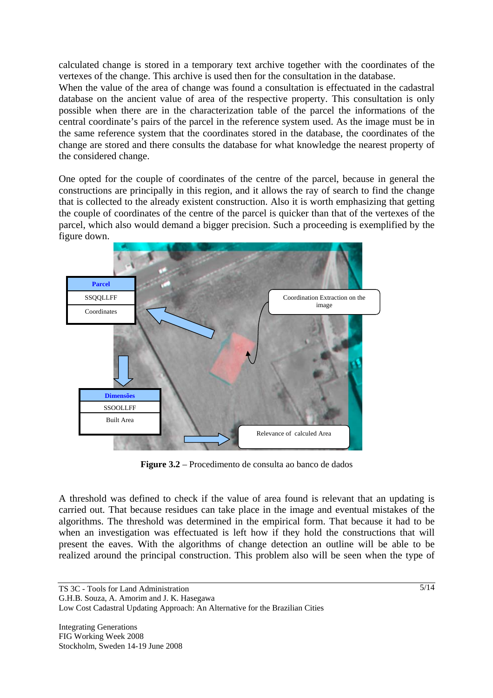calculated change is stored in a temporary text archive together with the coordinates of the vertexes of the change. This archive is used then for the consultation in the database.

When the value of the area of change was found a consultation is effectuated in the cadastral database on the ancient value of area of the respective property. This consultation is only possible when there are in the characterization table of the parcel the informations of the central coordinate's pairs of the parcel in the reference system used. As the image must be in the same reference system that the coordinates stored in the database, the coordinates of the change are stored and there consults the database for what knowledge the nearest property of the considered change.

One opted for the couple of coordinates of the centre of the parcel, because in general the constructions are principally in this region, and it allows the ray of search to find the change that is collected to the already existent construction. Also it is worth emphasizing that getting the couple of coordinates of the centre of the parcel is quicker than that of the vertexes of the parcel, which also would demand a bigger precision. Such a proceeding is exemplified by the figure down.



**Figure 3.2** – Procedimento de consulta ao banco de dados

A threshold was defined to check if the value of area found is relevant that an updating is carried out. That because residues can take place in the image and eventual mistakes of the algorithms. The threshold was determined in the empirical form. That because it had to be when an investigation was effectuated is left how if they hold the constructions that will present the eaves. With the algorithms of change detection an outline will be able to be realized around the principal construction. This problem also will be seen when the type of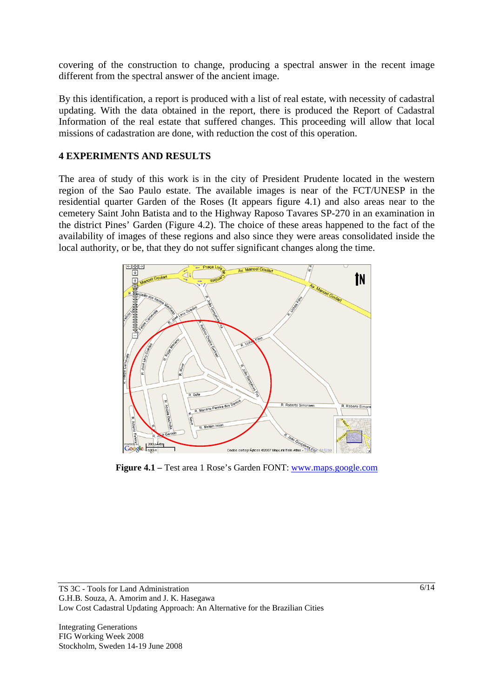covering of the construction to change, producing a spectral answer in the recent image different from the spectral answer of the ancient image.

By this identification, a report is produced with a list of real estate, with necessity of cadastral updating. With the data obtained in the report, there is produced the Report of Cadastral Information of the real estate that suffered changes. This proceeding will allow that local missions of cadastration are done, with reduction the cost of this operation.

#### **4 EXPERIMENTS AND RESULTS**

The area of study of this work is in the city of President Prudente located in the western region of the Sao Paulo estate. The available images is near of the FCT/UNESP in the residential quarter Garden of the Roses (It appears figure 4.1) and also areas near to the cemetery Saint John Batista and to the Highway Raposo Tavares SP-270 in an examination in the district Pines' Garden (Figure 4.2). The choice of these areas happened to the fact of the availability of images of these regions and also since they were areas consolidated inside the local authority, or be, that they do not suffer significant changes along the time.



**Figure 4.1 –** Test area 1 Rose's Garden FONT: www.maps.google.com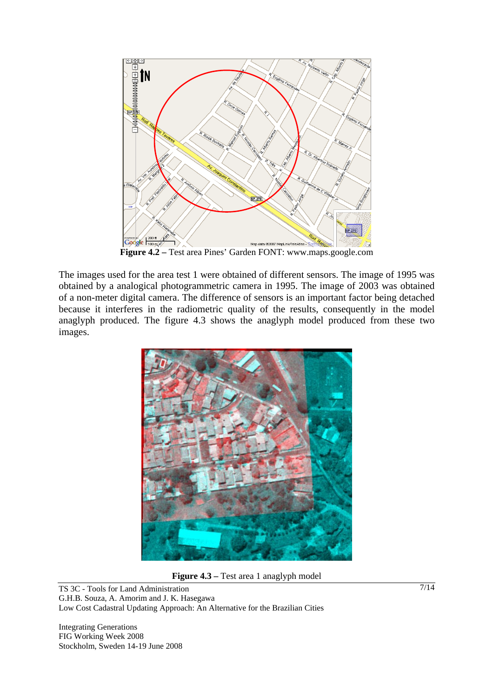

**Figure 4.2 –** Test area Pines' Garden FONT: www.maps.google.com

The images used for the area test 1 were obtained of different sensors. The image of 1995 was obtained by a analogical photogrammetric camera in 1995. The image of 2003 was obtained of a non-meter digital camera. The difference of sensors is an important factor being detached because it interferes in the radiometric quality of the results, consequently in the model anaglyph produced. The figure 4.3 shows the anaglyph model produced from these two images.



**Figure 4.3 –** Test area 1 anaglyph model

TS 3C - Tools for Land Administration G.H.B. Souza, A. Amorim and J. K. Hasegawa Low Cost Cadastral Updating Approach: An Alternative for the Brazilian Cities

Integrating Generations FIG Working Week 2008 Stockholm, Sweden 14-19 June 2008 7/14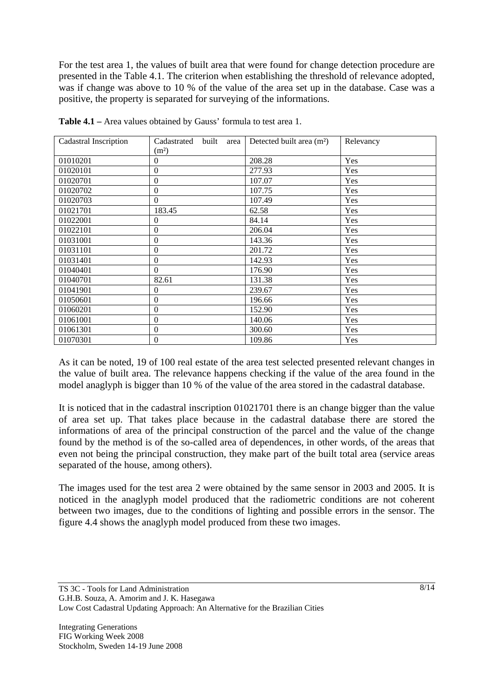For the test area 1, the values of built area that were found for change detection procedure are presented in the Table 4.1. The criterion when establishing the threshold of relevance adopted, was if change was above to 10 % of the value of the area set up in the database. Case was a positive, the property is separated for surveying of the informations.

| Cadastral Inscription | Cadastrated<br>built<br>area | Detected built area $(m2)$ | Relevancy |
|-----------------------|------------------------------|----------------------------|-----------|
|                       | (m <sup>2</sup> )            |                            |           |
| 01010201              | $\Omega$                     | 208.28                     | Yes       |
| 01020101              | $\boldsymbol{0}$             | 277.93                     | Yes       |
| 01020701              | $\Omega$                     | 107.07                     | Yes       |
| 01020702              | $\boldsymbol{0}$             | 107.75                     | Yes       |
| 01020703              | $\theta$                     | 107.49                     | Yes       |
| 01021701              | 183.45                       | 62.58                      | Yes       |
| 01022001              | $\theta$                     | 84.14                      | Yes       |
| 01022101              | $\boldsymbol{0}$             | 206.04                     | Yes       |
| 01031001              | $\theta$                     | 143.36                     | Yes       |
| 01031101              | $\overline{0}$               | 201.72                     | Yes       |
| 01031401              | $\boldsymbol{0}$             | 142.93                     | Yes       |
| 01040401              | $\Omega$                     | 176.90                     | Yes       |
| 01040701              | 82.61                        | 131.38                     | Yes       |
| 01041901              | $\Omega$                     | 239.67                     | Yes       |
| 01050601              | $\boldsymbol{0}$             | 196.66                     | Yes       |
| 01060201              | $\boldsymbol{0}$             | 152.90                     | Yes       |
| 01061001              | $\boldsymbol{0}$             | 140.06                     | Yes       |
| 01061301              | $\boldsymbol{0}$             | 300.60                     | Yes       |
| 01070301              | $\theta$                     | 109.86                     | Yes       |

**Table 4.1 –** Area values obtained by Gauss' formula to test area 1.

As it can be noted, 19 of 100 real estate of the area test selected presented relevant changes in the value of built area. The relevance happens checking if the value of the area found in the model anaglyph is bigger than 10 % of the value of the area stored in the cadastral database.

It is noticed that in the cadastral inscription 01021701 there is an change bigger than the value of area set up. That takes place because in the cadastral database there are stored the informations of area of the principal construction of the parcel and the value of the change found by the method is of the so-called area of dependences, in other words, of the areas that even not being the principal construction, they make part of the built total area (service areas separated of the house, among others).

The images used for the test area 2 were obtained by the same sensor in 2003 and 2005. It is noticed in the anaglyph model produced that the radiometric conditions are not coherent between two images, due to the conditions of lighting and possible errors in the sensor. The figure 4.4 shows the anaglyph model produced from these two images.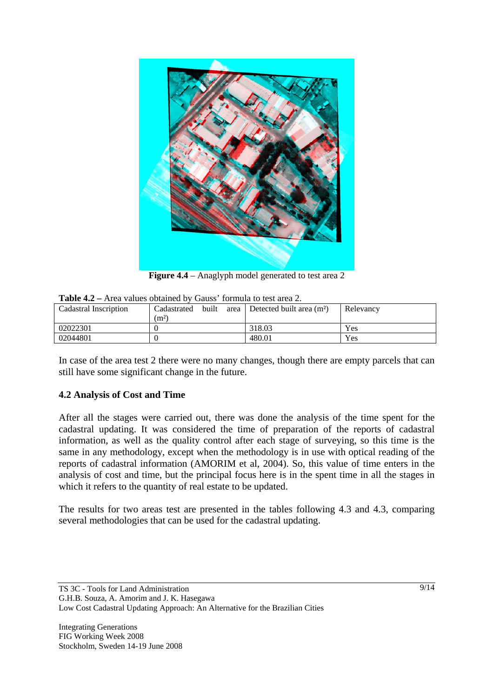

Figure 4.4 – Anaglyph model generated to test area 2

| <b>Table 4.4</b> – Alga values obtained by Gauss Tommula to test alga 2. |                      |  |                                   |           |  |  |  |
|--------------------------------------------------------------------------|----------------------|--|-----------------------------------|-----------|--|--|--|
| Cadastral Inscription                                                    | built<br>Cadastrated |  | area   Detected built area $(m2)$ | Relevancy |  |  |  |
|                                                                          | (m <sup>2</sup> )    |  |                                   |           |  |  |  |
| 02022301                                                                 |                      |  | 318.03                            | Yes       |  |  |  |
| 02044801                                                                 |                      |  | 480.01                            | Yes       |  |  |  |

**Table 4.2 –** Area values obtained by Gauss' formula to test area 2.

In case of the area test 2 there were no many changes, though there are empty parcels that can still have some significant change in the future.

### **4.2 Analysis of Cost and Time**

After all the stages were carried out, there was done the analysis of the time spent for the cadastral updating. It was considered the time of preparation of the reports of cadastral information, as well as the quality control after each stage of surveying, so this time is the same in any methodology, except when the methodology is in use with optical reading of the reports of cadastral information (AMORIM et al, 2004). So, this value of time enters in the analysis of cost and time, but the principal focus here is in the spent time in all the stages in which it refers to the quantity of real estate to be updated.

The results for two areas test are presented in the tables following 4.3 and 4.3, comparing several methodologies that can be used for the cadastral updating.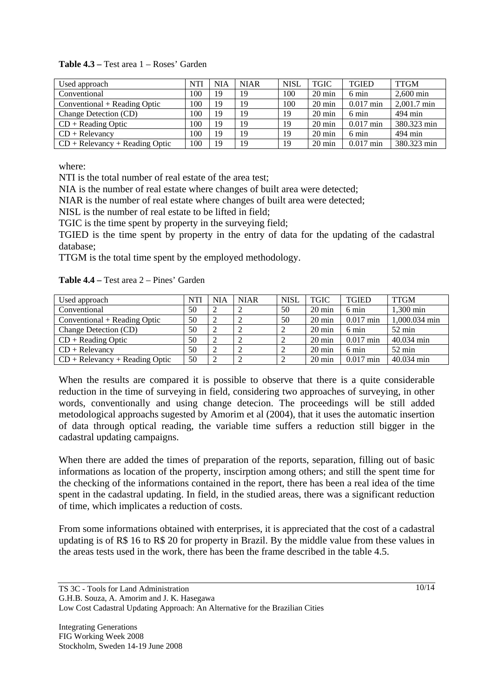| Used approach                    | <b>NTI</b> | <b>NIA</b> | <b>NIAR</b> | <b>NISL</b> | TGIC             | <b>TGIED</b> | <b>TTGM</b> |
|----------------------------------|------------|------------|-------------|-------------|------------------|--------------|-------------|
| Conventional                     | 100        | 19         | 19          | 100         | $20 \text{ min}$ | 6 min        | $2,600$ min |
| Conventional + Reading Optic     | 100        | 19         | 19          | 100         | $20 \text{ min}$ | $0.017$ min  | 2,001.7 min |
| Change Detection (CD)            | 100        | 19         | 19          | 19          | $20 \text{ min}$ | 6 min        | 494 min     |
| $CD + Reading Optic$             | 100        | 19         | 19          | 19          | $20 \text{ min}$ | $0.017$ min  | 380.323 min |
| $CD + Relevarcy$                 | 100        | 19         | 19          | 19          | $20 \text{ min}$ | 6 min        | 494 min     |
| $CD + Relevancy + Reading Optic$ | 100        | 19         | 19          | 19          | $20 \text{ min}$ | $0.017$ min  | 380.323 min |

#### **Table 4.3 –** Test area 1 – Roses' Garden

where:

NTI is the total number of real estate of the area test;

NIA is the number of real estate where changes of built area were detected;

NIAR is the number of real estate where changes of built area were detected;

NISL is the number of real estate to be lifted in field;

TGIC is the time spent by property in the surveying field;

TGIED is the time spent by property in the entry of data for the updating of the cadastral database;

TTGM is the total time spent by the employed methodology.

**Table 4.4 –** Test area 2 – Pines' Garden

| Used approach                   | <b>NTI</b> | <b>NIA</b>     | <b>NIAR</b> | <b>NISL</b> | <b>TGIC</b>      | <b>TGIED</b>    | <b>TTGM</b>   |
|---------------------------------|------------|----------------|-------------|-------------|------------------|-----------------|---------------|
| Conventional                    | 50         |                |             | 50          | $20 \text{ min}$ | 6 min           | 1,300 min     |
| $Conventional + Reading Optic$  | 50         | $\overline{2}$ |             | 50          | $20 \text{ min}$ | $0.017$ min     | 1,000.034 min |
| Change Detection (CD)           | 50         | $\overline{2}$ |             |             | $20 \text{ min}$ | $6 \text{ min}$ | 52 min        |
| $CD + Reading Optic$            | 50         | $\overline{2}$ |             |             | $20 \text{ min}$ | $0.017$ min     | 40.034 min    |
| $CD + Relevant$                 | 50         | $\overline{2}$ |             |             | $20 \text{ min}$ | 6 min           | 52 min        |
| $CD + Relevant + Reading Optic$ | 50         | $\overline{2}$ |             |             | $20 \text{ min}$ | $0.017$ min     | 40.034 min    |

When the results are compared it is possible to observe that there is a quite considerable reduction in the time of surveying in field, considering two approaches of surveying, in other words, conventionally and using change detecion. The proceedings will be still added metodological approachs sugested by Amorim et al (2004), that it uses the automatic insertion of data through optical reading, the variable time suffers a reduction still bigger in the cadastral updating campaigns.

When there are added the times of preparation of the reports, separation, filling out of basic informations as location of the property, inscirption among others; and still the spent time for the checking of the informations contained in the report, there has been a real idea of the time spent in the cadastral updating. In field, in the studied areas, there was a significant reduction of time, which implicates a reduction of costs.

From some informations obtained with enterprises, it is appreciated that the cost of a cadastral updating is of R\$ 16 to R\$ 20 for property in Brazil. By the middle value from these values in the areas tests used in the work, there has been the frame described in the table 4.5.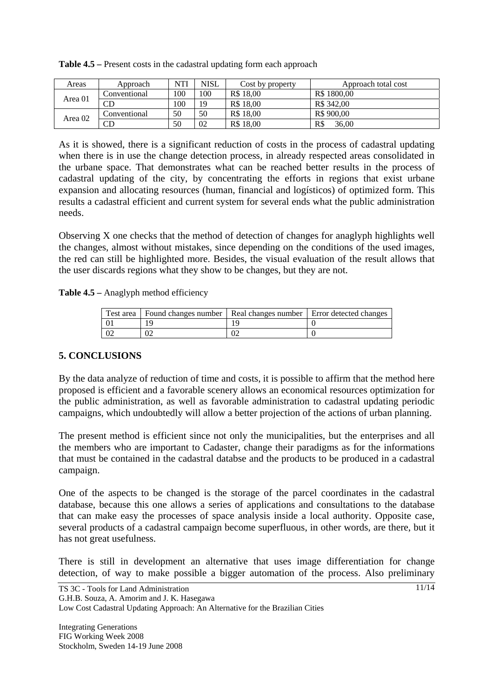| Areas   | Approach     | <b>NTI</b> | <b>NISL</b> | Cost by property | Approach total cost |
|---------|--------------|------------|-------------|------------------|---------------------|
| Area 01 | Conventional | 100        | 100         | R\$ 18.00        | R\$ 1800.00         |
|         | CD           | 100        | 19          | R\$ 18.00        | R\$ 342.00          |
| Area 02 | Conventional | 50         | 50          | R\$ 18.00        | R\$ 900,00          |
|         | CD           | 50         | 02          | R\$ 18,00        | R\$<br>36.00        |

**Table 4.5 –** Present costs in the cadastral updating form each approach

As it is showed, there is a significant reduction of costs in the process of cadastral updating when there is in use the change detection process, in already respected areas consolidated in the urbane space. That demonstrates what can be reached better results in the process of cadastral updating of the city, by concentrating the efforts in regions that exist urbane expansion and allocating resources (human, financial and logísticos) of optimized form. This results a cadastral efficient and current system for several ends what the public administration needs.

Observing X one checks that the method of detection of changes for anaglyph highlights well the changes, almost without mistakes, since depending on the conditions of the used images, the red can still be highlighted more. Besides, the visual evaluation of the result allows that the user discards regions what they show to be changes, but they are not.

**Table 4.5 –** Anaglyph method efficiency

| Test area   Found changes number   Real changes number   Error detected changes |  |
|---------------------------------------------------------------------------------|--|
|                                                                                 |  |
|                                                                                 |  |

### **5. CONCLUSIONS**

By the data analyze of reduction of time and costs, it is possible to affirm that the method here proposed is efficient and a favorable scenery allows an economical resources optimization for the public administration, as well as favorable administration to cadastral updating periodic campaigns, which undoubtedly will allow a better projection of the actions of urban planning.

The present method is efficient since not only the municipalities, but the enterprises and all the members who are important to Cadaster, change their paradigms as for the informations that must be contained in the cadastral databse and the products to be produced in a cadastral campaign.

One of the aspects to be changed is the storage of the parcel coordinates in the cadastral database, because this one allows a series of applications and consultations to the database that can make easy the processes of space analysis inside a local authority. Opposite case, several products of a cadastral campaign become superfluous, in other words, are there, but it has not great usefulness.

There is still in development an alternative that uses image differentiation for change detection, of way to make possible a bigger automation of the process. Also preliminary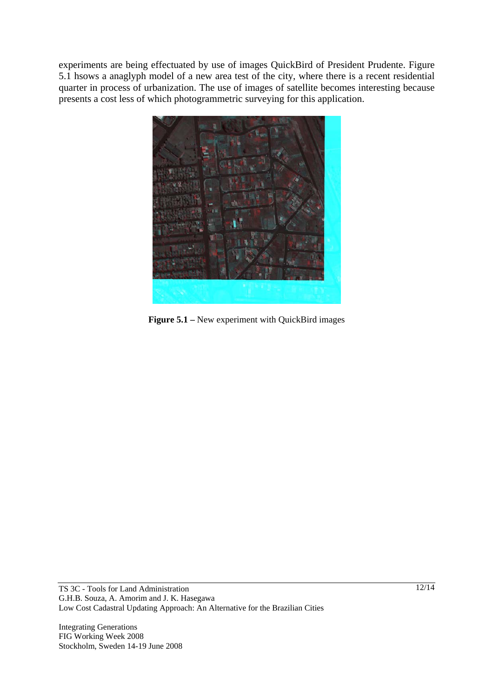experiments are being effectuated by use of images QuickBird of President Prudente. Figure 5.1 hsows a anaglyph model of a new area test of the city, where there is a recent residential quarter in process of urbanization. The use of images of satellite becomes interesting because presents a cost less of which photogrammetric surveying for this application.



**Figure 5.1 –** New experiment with QuickBird images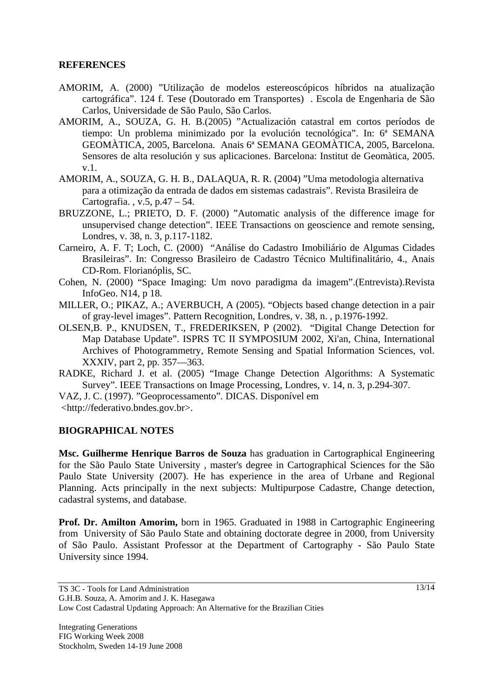#### **REFERENCES**

- AMORIM, A. (2000) "Utilização de modelos estereoscópicos híbridos na atualização cartográfica". 124 f. Tese (Doutorado em Transportes) . Escola de Engenharia de São Carlos, Universidade de São Paulo, São Carlos.
- AMORIM, A., SOUZA, G. H. B.(2005) "Actualización catastral em cortos períodos de tiempo: Un problema minimizado por la evolución tecnológica". In: 6ª SEMANA GEOMÀTICA, 2005, Barcelona. Anais 6ª SEMANA GEOMÀTICA, 2005, Barcelona. Sensores de alta resolución y sus aplicaciones. Barcelona: Institut de Geomàtica, 2005. v.1.
- AMORIM, A., SOUZA, G. H. B., DALAQUA, R. R. (2004) "Uma metodologia alternativa para a otimização da entrada de dados em sistemas cadastrais". Revista Brasileira de Cartografia. , v.5, p.47 – 54.
- BRUZZONE, L.; PRIETO, D. F. (2000) "Automatic analysis of the difference image for unsupervised change detection". IEEE Transactions on geoscience and remote sensing, Londres, v. 38, n. 3, p.117-1182.
- Carneiro, A. F. T; Loch, C. (2000) "Análise do Cadastro Imobiliário de Algumas Cidades Brasileiras". In: Congresso Brasileiro de Cadastro Técnico Multifinalitário, 4., Anais CD-Rom. Florianóplis, SC.
- Cohen, N. (2000) "Space Imaging: Um novo paradigma da imagem".(Entrevista).Revista InfoGeo. N14, p 18.
- MILLER, O.; PIKAZ, A.; AVERBUCH, A (2005). "Objects based change detection in a pair of gray-level images". Pattern Recognition, Londres, v. 38, n. , p.1976-1992.
- OLSEN,B. P., KNUDSEN, T., FREDERIKSEN, P (2002). "Digital Change Detection for Map Database Update". ISPRS TC II SYMPOSIUM 2002, Xi'an, China, International Archives of Photogrammetry, Remote Sensing and Spatial Information Sciences, vol. XXXIV, part 2, pp. 357—363.
- RADKE, Richard J. et al. (2005) "Image Change Detection Algorithms: A Systematic Survey". IEEE Transactions on Image Processing, Londres, v. 14, n. 3, p.294-307.

VAZ, J. C. (1997). "Geoprocessamento"*.* DICAS. Disponível em

<http://federativo.bndes.gov.br>.

#### **BIOGRAPHICAL NOTES**

**Msc. Guilherme Henrique Barros de Souza** has graduation in Cartographical Engineering for the São Paulo State University , master's degree in Cartographical Sciences for the São Paulo State University (2007). He has experience in the area of Urbane and Regional Planning. Acts principally in the next subjects: Multipurpose Cadastre, Change detection, cadastral systems, and database.

**Prof. Dr. Amilton Amorim,** born in 1965. Graduated in 1988 in Cartographic Engineering from University of São Paulo State and obtaining doctorate degree in 2000, from University of São Paulo. Assistant Professor at the Department of Cartography - São Paulo State University since 1994.